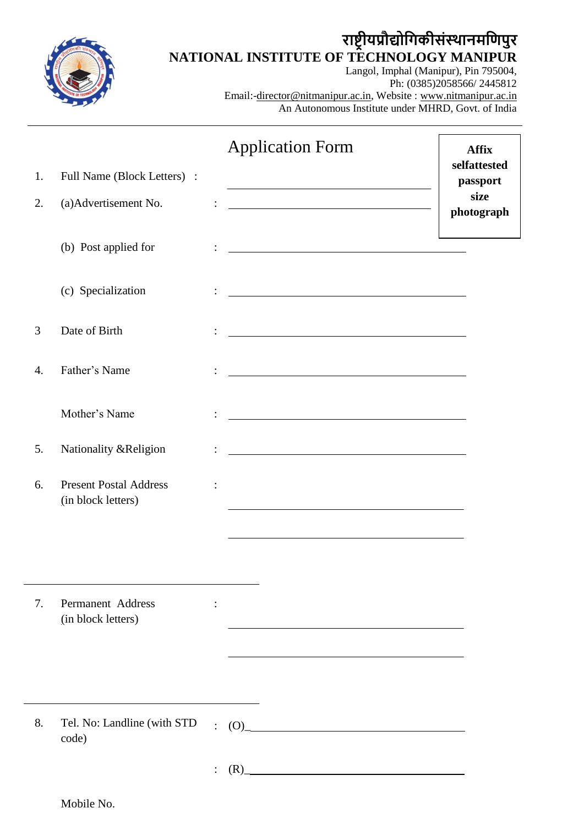

# **राष्ट्रीयप्रौद्योगिकीसंस्थानमगिपुर NATIONAL INSTITUTE OF TECHNOLOGY MANIPUR**

Langol, Imphal (Manipur), Pin 795004, Ph: (0385)2058566/ 2445812 Email:-director@nitmanipur.ac.in, Website : www.nitmanipur.ac.in An Autonomous Institute under MHRD, Govt. of India

|    |                                                     |                | <b>Application Form</b>                                                                                                      | <b>Affix</b>             |
|----|-----------------------------------------------------|----------------|------------------------------------------------------------------------------------------------------------------------------|--------------------------|
| 1. | Full Name (Block Letters) :                         |                |                                                                                                                              | selfattested<br>passport |
| 2. | (a) Advertisement No.                               |                |                                                                                                                              | size<br>photograph       |
|    | (b) Post applied for                                |                |                                                                                                                              |                          |
|    | (c) Specialization                                  |                | <u> 1980 - Johann Barn, mars ann an t-Amhain Aonaich an t-Aonaich an t-Aonaich an t-Aonaich an t-Aonaich an t-Aon</u>        |                          |
| 3  | Date of Birth                                       |                |                                                                                                                              |                          |
| 4. | Father's Name                                       |                |                                                                                                                              |                          |
|    | Mother's Name                                       |                |                                                                                                                              |                          |
| 5. | Nationality &Religion                               |                |                                                                                                                              |                          |
| 6. | <b>Present Postal Address</b><br>(in block letters) |                | the control of the control of the control of the control of the control of the control of                                    |                          |
| 7. | Permanent Address<br>(in block letters)             | $\ddot{\cdot}$ |                                                                                                                              |                          |
| 8. | Tel. No: Landline (with STD<br>code)                | $\ddot{\cdot}$ | (O)<br><u> 1980 - Johann Barn, mars ar breist bestjoerde te gemeente op de oprjochte van de oprjochte van de oprjochte v</u> |                          |
|    |                                                     |                | (R)                                                                                                                          |                          |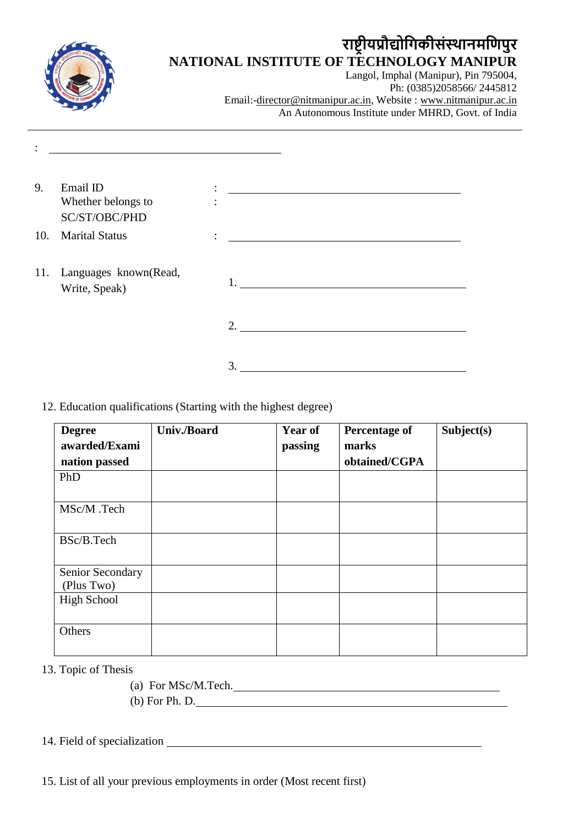| राष्ट्रायप्रोद्योगिकीसंस्थानमणिपुर                                 |
|--------------------------------------------------------------------|
| NATIONAL INSTITUTE OF TECHNOLOGY MANIPUR                           |
| Langol, Imphal (Manipur), Pin 795004,<br>Ph: (0385)2058566/2445812 |
|                                                                    |
| Email:-director@nitmanipur.ac.in, Website : www.nitmanipur.ac.in   |
| An Autonomous Institute under MHRD, Govt. of India                 |
|                                                                    |
|                                                                    |
|                                                                    |

| 9. | Email ID<br>Whether belongs to<br>SC/ST/OBC/PHD | ٠<br>$\bullet$<br>٠ |         |
|----|-------------------------------------------------|---------------------|---------|
|    | 10. Marital Status                              | $\bullet$           |         |
|    | 11. Languages known(Read,<br>Write, Speak)      |                     | $1_{-}$ |
|    |                                                 |                     | 2.      |
|    |                                                 |                     | 3       |

## 12. Education qualifications (Starting with the highest degree)

| <b>Degree</b><br>awarded/Exami | Univ./Board | <b>Year of</b><br>passing | <b>Percentage of</b><br>marks | Subject(s) |
|--------------------------------|-------------|---------------------------|-------------------------------|------------|
| nation passed                  |             |                           | obtained/CGPA                 |            |
|                                |             |                           |                               |            |
| PhD                            |             |                           |                               |            |
|                                |             |                           |                               |            |
| MSc/M .Tech                    |             |                           |                               |            |
|                                |             |                           |                               |            |
|                                |             |                           |                               |            |
| BSc/B.Tech                     |             |                           |                               |            |
|                                |             |                           |                               |            |
| Senior Secondary               |             |                           |                               |            |
| (Plus Two)                     |             |                           |                               |            |
| <b>High School</b>             |             |                           |                               |            |
|                                |             |                           |                               |            |
|                                |             |                           |                               |            |
| Others                         |             |                           |                               |            |
|                                |             |                           |                               |            |

13. Topic of Thesis

(a) For MSc/M.Tech. (b) For Ph. D.

14. Field of specialization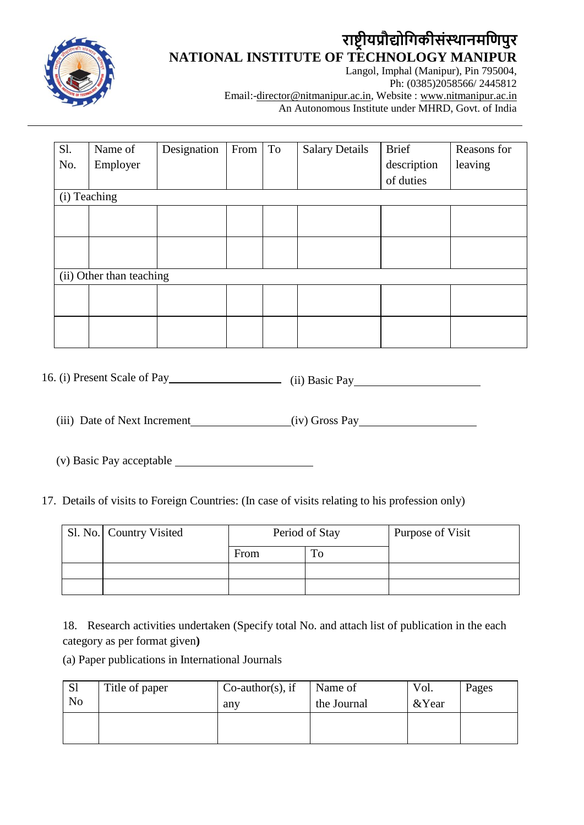

# **राष्ट्रीयप्रौद्योगिकीसंस्थानमगिपुर NATIONAL INSTITUTE OF TECHNOLOGY MANIPUR**

Langol, Imphal (Manipur), Pin 795004, Ph: (0385)2058566/ 2445812 Email:-director@nitmanipur.ac.in, Website : www.nitmanipur.ac.in An Autonomous Institute under MHRD, Govt. of India

| Sl. | Name of                  | Designation | From | To | <b>Salary Details</b> | Brief       | Reasons for |
|-----|--------------------------|-------------|------|----|-----------------------|-------------|-------------|
| No. | Employer                 |             |      |    |                       | description | leaving     |
|     |                          |             |      |    |                       | of duties   |             |
|     | (i) Teaching             |             |      |    |                       |             |             |
|     |                          |             |      |    |                       |             |             |
|     |                          |             |      |    |                       |             |             |
|     |                          |             |      |    |                       |             |             |
|     |                          |             |      |    |                       |             |             |
|     | (ii) Other than teaching |             |      |    |                       |             |             |
|     |                          |             |      |    |                       |             |             |
|     |                          |             |      |    |                       |             |             |
|     |                          |             |      |    |                       |             |             |
|     |                          |             |      |    |                       |             |             |

16. (i) Present Scale of Pay (ii) Basic Pay

(iii) Date of Next Increment (iv) Gross Pay

(v) Basic Pay acceptable

17. Details of visits to Foreign Countries: (In case of visits relating to his profession only)

| Sl. No.   Country Visited | Period of Stay |  | Purpose of Visit |
|---------------------------|----------------|--|------------------|
|                           | From           |  |                  |
|                           |                |  |                  |
|                           |                |  |                  |

18. Research activities undertaken (Specify total No. and attach list of publication in the each category as per format given**)**

(a) Paper publications in International Journals

| <sub>S1</sub><br>N <sub>o</sub> | Title of paper | $Co$ -author(s), if<br>any | Name of<br>the Journal | Vol.<br>&Year | Pages |
|---------------------------------|----------------|----------------------------|------------------------|---------------|-------|
|                                 |                |                            |                        |               |       |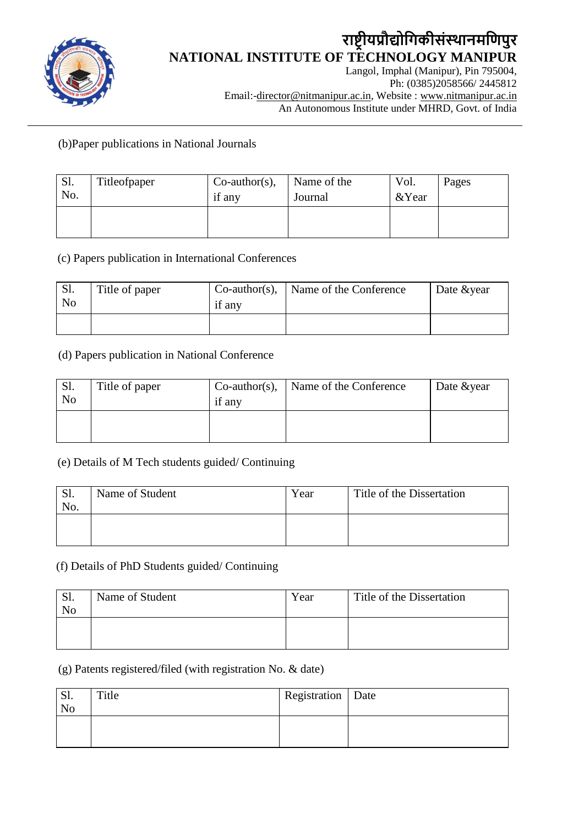

# **राष्ट्रीयप्रौद्योगिकीसंस्थानमगिपुर NATIONAL INSTITUTE OF TECHNOLOGY MANIPUR**

Langol, Imphal (Manipur), Pin 795004, Ph: (0385)2058566/ 2445812 Email:-director@nitmanipur.ac.in, Website : www.nitmanipur.ac.in An Autonomous Institute under MHRD, Govt. of India

(b)Paper publications in National Journals

| Sl.<br>No. | Titleofpaper | $Co$ -author(s),<br>if any | Name of the<br>Journal | Vol.<br>& Year | Pages |
|------------|--------------|----------------------------|------------------------|----------------|-------|
|            |              |                            |                        |                |       |

(c) Papers publication in International Conferences

| S1.<br>N <sub>0</sub> | Title of paper | $Co$ -author(s),<br>if any | Name of the Conference | Date & year |
|-----------------------|----------------|----------------------------|------------------------|-------------|
|                       |                |                            |                        |             |

#### (d) Papers publication in National Conference

| $\mathbf{L}$<br>No | Title of paper | $Co$ -author(s),<br>if any | Name of the Conference | Date & year |
|--------------------|----------------|----------------------------|------------------------|-------------|
|                    |                |                            |                        |             |

#### (e) Details of M Tech students guided/ Continuing

| Sl.<br>No. | Name of Student | Year | Title of the Dissertation |
|------------|-----------------|------|---------------------------|
|            |                 |      |                           |

## (f) Details of PhD Students guided/ Continuing

| Sl.<br>N <sub>o</sub> | Name of Student | Year | Title of the Dissertation |
|-----------------------|-----------------|------|---------------------------|
|                       |                 |      |                           |

#### (g) Patents registered/filed (with registration No. & date)

| JI.<br>No | Title | Registration   Date |  |
|-----------|-------|---------------------|--|
|           |       |                     |  |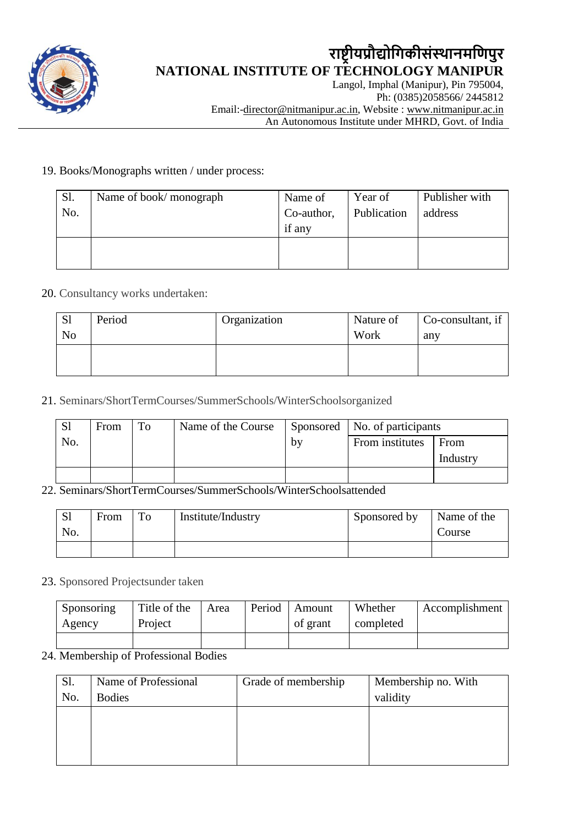

## **राष्ट्रीयप्रौद्योगिकीसंस्थानमगिपुर NATIONAL INSTITUTE OF TECHNOLOGY MANIPUR** Langol, Imphal (Manipur), Pin 795004,

Ph: (0385)2058566/ 2445812 Email:-director@nitmanipur.ac.in, Website : www.nitmanipur.ac.in An Autonomous Institute under MHRD, Govt. of India

#### 19. Books/Monographs written / under process:

| Sl. | Name of book/monograph | Name of    | Year of     | Publisher with |
|-----|------------------------|------------|-------------|----------------|
| No. |                        | Co-author, | Publication | address        |
|     |                        | if any     |             |                |
|     |                        |            |             |                |
|     |                        |            |             |                |

#### 20. Consultancy works undertaken:

| <sub>S1</sub>  | Period | Organization | Nature of | Co-consultant, if |
|----------------|--------|--------------|-----------|-------------------|
| N <sub>0</sub> |        |              | Work      | any               |
|                |        |              |           |                   |
|                |        |              |           |                   |

21. Seminars/ShortTermCourses/SummerSchools/WinterSchoolsorganized

| <sub>S1</sub> | From | To | Name of the Course |    | Sponsored   No. of participants |          |
|---------------|------|----|--------------------|----|---------------------------------|----------|
| No.           |      |    |                    | bv | From institutes                 | From     |
|               |      |    |                    |    |                                 | Industry |
|               |      |    |                    |    |                                 |          |

#### 22. Seminars/ShortTermCourses/SummerSchools/WinterSchoolsattended

| S <sub>1</sub><br>No. | From | To | Institute/Industry | Sponsored by | Name of the<br>Course |
|-----------------------|------|----|--------------------|--------------|-----------------------|
|                       |      |    |                    |              |                       |

#### 23. Sponsored Projectsunder taken

| Sponsoring | Title of the | Area | Period | Amount   | Whether   | Accomplishment |
|------------|--------------|------|--------|----------|-----------|----------------|
| Agency     | Project      |      |        | of grant | completed |                |
|            |              |      |        |          |           |                |

#### 24. Membership of Professional Bodies

| Sl. | Name of Professional | Grade of membership | Membership no. With |
|-----|----------------------|---------------------|---------------------|
| No. | <b>Bodies</b>        |                     | validity            |
|     |                      |                     |                     |
|     |                      |                     |                     |
|     |                      |                     |                     |
|     |                      |                     |                     |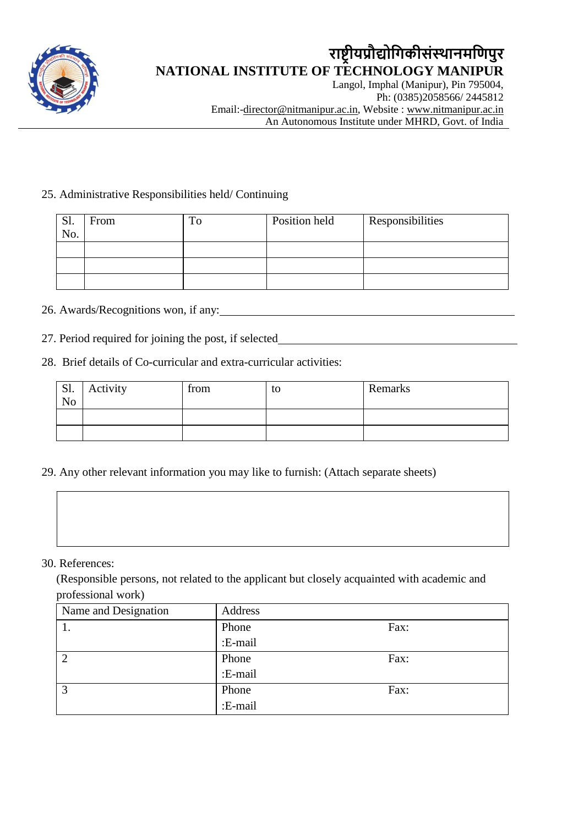

## **राष्ट्रीयप्रौद्योगिकीसंस्थानमगिपुर NATIONAL INSTITUTE OF TECHNOLOGY MANIPUR** Langol, Imphal (Manipur), Pin 795004,

Ph: (0385)2058566/ 2445812 Email:-director@nitmanipur.ac.in, Website : www.nitmanipur.ac.in An Autonomous Institute under MHRD, Govt. of India

### 25. Administrative Responsibilities held/ Continuing

| Sl. | From | $T_{0}$ | Position held | <b>Responsibilities</b> |
|-----|------|---------|---------------|-------------------------|
| No. |      |         |               |                         |
|     |      |         |               |                         |
|     |      |         |               |                         |
|     |      |         |               |                         |

# 26. Awards/Recognitions won, if any:

27. Period required for joining the post, if selected

## 28. Brief details of Co-curricular and extra-curricular activities:

| Sl.<br>N <sub>o</sub> | Activity | from | to | Remarks |
|-----------------------|----------|------|----|---------|
|                       |          |      |    |         |
|                       |          |      |    |         |

29. Any other relevant information you may like to furnish: (Attach separate sheets)

#### 30. References:

(Responsible persons, not related to the applicant but closely acquainted with academic and professional work)

| Name and Designation | Address |      |
|----------------------|---------|------|
| . .                  | Phone   | Fax: |
|                      | :E-mail |      |
| റ                    | Phone   | Fax: |
|                      | :E-mail |      |
| 3                    | Phone   | Fax: |
|                      | :E-mail |      |